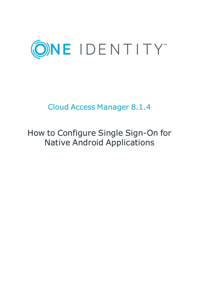

# Cloud Access Manager 8.1.4

# How to Configure Single Sign-On for Native Android Applications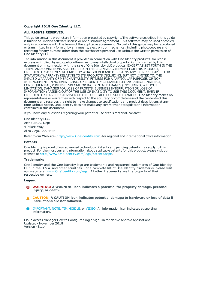#### **Copyright 2018 One Identity LLC.**

#### **ALL RIGHTS RESERVED.**

This guide contains proprietary information protected by copyright. The software described in this guide is furnished under a software license or nondisclosure agreement. This software may be used or copied only in accordance with the terms of the applicable agreement. No part of this guide may be reproduced or transmitted in any form or by any means, electronic or mechanical, including photocopying and recording for any purpose other than the purchaser's personal use without the written permission of One Identity LLC .

The information in this document is provided in connection with One Identity products. No license, express or implied, by estoppel or otherwise, to any intellectual property right is granted by this document or in connection with the sale of One Identity LLC products. EXCEPT AS SET FORTH IN THE TERMS AND CONDITIONS AS SPECIFIED IN THE LICENSE AGREEMENT FOR THIS PRODUCT, ONE IDENTITY ASSUMES NO LIABILITY WHATSOEVER AND DISCLAIMS ANY EXPRESS, IMPLIED OR STATUTORY WARRANTY RELATING TO ITS PRODUCTS INCLUDING, BUT NOT LIMITED TO, THE IMPLIED WARRANTY OF MERCHANTABILITY, FITNESS FOR A PARTICULAR PURPOSE, OR NON-INFRINGEMENT. IN NO EVENT SHALL ONE IDENTITY BE LIABLE FOR ANY DIRECT, INDIRECT, CONSEQUENTIAL, PUNITIVE, SPECIAL OR INCIDENTAL DAMAGES (INCLUDING, WITHOUT LIMITATION, DAMAGES FOR LOSS OF PROFITS, BUSINESS INTERRUPTION OR LOSS OF INFORMATION) ARISING OUT OF THE USE OR INABILITY TO USE THIS DOCUMENT, EVEN IF ONE IDENTITY HAS BEEN ADVISED OF THE POSSIBILITY OF SUCH DAMAGES. One Identity makes no representations or warranties with respect to the accuracy or completeness of the contents of this document and reserves the right to make changes to specifications and product descriptions at any time without notice. One Identity does not make any commitment to update the information contained in this document.

If you have any questions regarding your potential use of this material, contact:

One Identity LLC. Attn: LEGAL Dept 4 Polaris Way Aliso Viejo, CA 92656

Refer to our Web site ([http://www.OneIdentity.com](http://www.oneidentity.com/)) for regional and international office information.

#### **Patents**

One Identity is proud of our advanced technology. Patents and pending patents may apply to this product. For the most current information about applicable patents for this product, please visit our website at [http://www.OneIdentity.com/legal/patents.aspx](http://www.oneidentity.com/legal/patents.aspx).

#### **Trademarks**

One Identity and the One Identity logo are trademarks and registered trademarks of One Identity LLC. in the U.S.A. and other countries. For a complete list of One Identity trademarks, please visit our website at [www.OneIdentity.com/legal](http://www.oneidentity.com/legal). All other trademarks are the property of their respective owners.

#### **Legend**

- **WARNING: A WARNING icon indicates a potential for property damage, personal injury, or death.**
- **CAUTION: A CAUTION icon indicates potential damage to hardware or loss of data if instructions are not followed.**
- IMPORTANT, NOTE, TIP, MOBILE, or VIDEO: An information icon indicates supporting Œ information.

Cloud Access Manager How to Configure Single Sign-On for Native Android Applications Updated - November 2018 Version - 8.1.4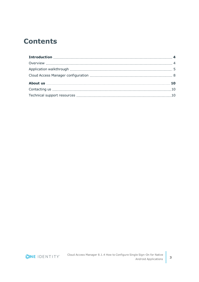## **Contents**

ONE IDENTITY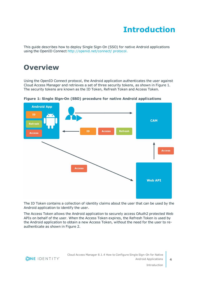# **Introduction**

<span id="page-3-0"></span>This guide describes how to deploy Single Sign-On (SSO) for native Android applications using the OpenID Connect [http://openid.net/connect/](http://openid.net/connect/ protocol) protocol.

### <span id="page-3-1"></span>**Overview**

Using the OpenID Connect protocol, the Android application authenticates the user against Cloud Access Manager and retrieves a set of three security tokens, as shown in Figure 1. The security tokens are known as the ID Token, Refresh Token and Access Token.



**Figure 1: Single Sign-On (SSO) procedure for native Android applications**

The ID Token contains a collection of identity claims about the user that can be used by the Android application to identify the user.

The Access Token allows the Android application to securely access OAuth2 protected Web APIs on behalf of the user. When the Access Token expires, the Refresh Token is used by the Android application to obtain a new Access Token, without the need for the user to reauthenticate as shown in Figure 2.

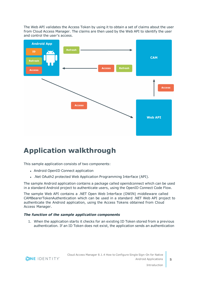The Web API validates the Access Token by using it to obtain a set of claims about the user from Cloud Access Manager. The claims are then used by the Web API to identify the user and control the user's access.



# <span id="page-4-0"></span>**Application walkthrough**

This sample application consists of two components:

- Android OpenID Connect application
- . .Net OAuth2 protected Web Application Programming Interface (API).

The sample Android application contains a package called openidconnect which can be used in a standard Android project to authenticate users, using the OpenID Connect Code Flow.

The sample Web API contains a .NET Open Web Interface (OWIN) middleware called CAMBearerTokenAuthentication which can be used in a standard .NET Web API project to authenticate the Android application, using the Access Tokens obtained from Cloud Access Manager.

### *The function of the sample application components*

1. When the application starts it checks for an existing ID Token stored from a previous authentication. If an ID Token does not exist, the application sends an authentication

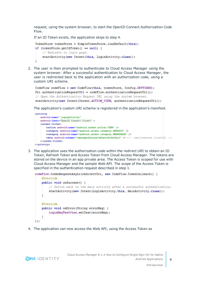request, using the system browser, to start the OpenID Connect Authorization Code Flow.

If an ID Token exists, the application skips to step 4.

```
TokenStore tokenStore = SimpleTokenStore. loadDefault(this);
if (tokenStore.getIdToken() == null) {
    // Redirect to login page.
    startActivity(new Intent(this, LoginActivity.class));
J.
```
2. The user is then prompted to authenticate to Cloud Access Manager using the system browser. After a successful authentication to Cloud Access Manager, the user is redirected back to the application with an authorization code, using a custom URI scheme.

```
CodeFlow codeFlow = new CodeFlow(this, tokenStore, Config. SETTINGS);
Uri authenticationRequestUrl = codeFlow.authenticationRequestUri();
// Open the Authentication Request URL using the system browser.
startActivity(new Intent(Intent.ACTION VIEW, authenticationRequestUrl));
```
The application's custom URI scheme is registered in the application's manifest.

```
<activity
    android:name=".LoginActivity"
    android: label="OpenID Connect Client" >
    <intent-filter>
        <action android:name="android.intent.action.VIEW" />
        <category android:name="android.intent.category.DEFAULT" />
        <category android:name="android.intent.category.BROWSABLE" />
        <data android:scheme="cam3uxhvtb3ruls7xk1prr413er4wj1" /> <!-- cam[lovercase clientId] -->
    \langle/intent-filter>
</activity>
```
3. The application uses the authorization code within the redirect URI to obtain an ID Token, Refresh Token and Access Token from Cloud Access Manager. The tokens are stored on the device in an app private area. The Access Token is scoped for use with Cloud Access Manager and the sample Web API. The scope of the Access Token is specified in the authentication request described in step 1.

```
codeFlow.tokenRequestAsync(redirectUri, new CodeFlow.TokenCallback() {
    @Override
   public void onSuccess() {
        // Switch back to the main activity after a successful authentication.
        startActivity(new Intent(LoginActivity.this, MainActivity.class));
    }
    @Override
    public void onError(String errorMsg) {
        loginMsgTextView.setText(errorMsg);
    J.
):
```
4. The application can now access the Web API, using the Access Token as

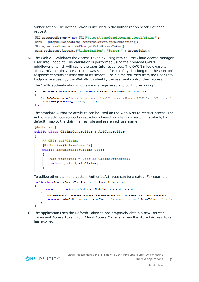authorization. The Access Token is included in the authorization header of each request.

```
URL resourceServer = new URL("https://sampleapi.company.local/claims");
conn = (HttpURLConnection) resourceServer.openConnection();
String accessToken = codeFlow.getValidAccessToken();
conn.setRequestProperty("Authorization", "Bearer " + accessToken);
```
5. The Web API validates the Access Token by using it to call the Cloud Access Manager User Info Endpoint. The validation is performed using the provided OWIN middleware, which will cache the User Info responses. The OWIN middleware will also verify that the Access Token was scoped for itself by checking that the User Info response contains at least one of its scopes. The claims returned from the User Info Endpoint are used by the Web API to identify the user and control their access.

The OWIN authentication middleware is registered and configured using:

```
app. UseCAMBearerTokenAuthentication(new CAMBearerTokenAuthenticationOptions
    \texttt{UserInfoEndpoint = "https://cam.company.local/CloudAccessManager/RFSTS/OAuthor2/User.aspx",}RequiredScopes = new[] { "sampleAPI" }H
```
The standard Authorize attribute can be used on the Web APIs to restrict access. The Authorize attribute supports restrictions based on role and user claims which, by default, map to the claim names role and preferred\_username.

```
[Authorize]
public class ClaimsController : ApiController
ł
    // GET: api/Claims
    [Authorize (Roles="read")]
    public IEnumerable<Claim> Get()
        var principal = User as ClaimSPrincipal;return principal. Claims;
    4
```
To utilize other claims, a custom AuthorizeAttribute can be created. For example:

```
public class RequireCustomClaimAttribute : AuthorizeAttribute
    protected override bool IsAuthorized (HttpActionContext context)
    \mathbf{f}var principal = context. Request. GetRequestContext(). Principal as ClaimsPrincipal;
         return principal. Claims. Any (c \Rightarrow c.Type == "customer-claim-name" & c.Value == "true");
    <sup>1</sup>
```
6. The application uses the Refresh Token to pre-emptively obtain a new Refresh Token and Access Token from Cloud Access Manager when the stored Access Token has expired.



**7**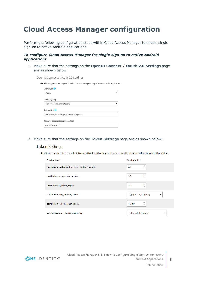# <span id="page-7-0"></span>**Cloud Access Manager configuration**

Perform the following configuration steps within Cloud Access Manager to enable single sign-on to native Android applications.

### *To configure Cloud Access Manager for single sign-on to native Android applications*

1. Make sure that the settings on the **OpenID Connect / OAuth 2.0 Settings** page are as shown below:

| OpenID Connect / OAuth 2.0 Settings                                                                |
|----------------------------------------------------------------------------------------------------|
| The following values are required for Cloud Access Manager to sign the user in to the application. |
| Client Type <sup>2</sup>                                                                           |
| Public                                                                                             |
| Token Signing                                                                                      |
| Sign token with shared secret                                                                      |
| Redirect URI <sup>2</sup>                                                                          |
| cam3uxhvtb3ruls7xk1prr413er4wj1://openid                                                           |
| Resource Scopes (Space Separated)                                                                  |
| openid SampleAPI                                                                                   |
|                                                                                                    |

#### 2. Make sure that the settings on the **Token Settings** page are as shown below:

### **Token Settings**

Adjust token settings to be used by this application. Updating these settings will override the global advanced application settings.

| <b>Setting Name</b>                          | <b>Setting Value</b>         |
|----------------------------------------------|------------------------------|
| oauthtoken.authorization_code_expiry_seconds | 60<br>▼                      |
| oauthtoken.access_token_expiry               | 30<br>۰                      |
| oauthtoken.id_token_expiry                   | 30                           |
| oauthtoken.use_refresh_tokens                | <b>UseRefreshTokens</b><br>▼ |
| oauthtoken.refresh_token_expiry              | ▴<br>10080<br>۰              |
| oauthtoken.oidc_claims_availability          | ClaimsInIdToken              |

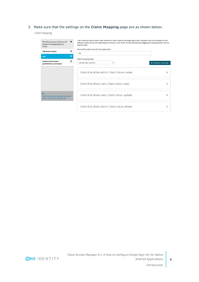### 3. Make sure that the settings on the **Claim Mapping** page are as shown below:

Claim Mapping

| The following user attributes will<br>be sent to the application as<br>claims                     | ۰ | Claim rules are used to send a user attribute or static value to the target application. Multiple rules can be added so that<br>different values can be sent depending on the user's role. Rules can be prioritized by dragging and dropping them into the<br>desired order. |                      |
|---------------------------------------------------------------------------------------------------|---|------------------------------------------------------------------------------------------------------------------------------------------------------------------------------------------------------------------------------------------------------------------------------|----------------------|
| <b>Full Name (name)</b>                                                                           | 圇 | Name of the claim to send to the application<br>role                                                                                                                                                                                                                         |                      |
| role                                                                                              | 面 |                                                                                                                                                                                                                                                                              |                      |
| <b>Preferred Username</b><br>(prefererred_username)                                               | 侖 | Rule Processing Mode<br>Use all rules matched                                                                                                                                                                                                                                | + Add New Claim Rule |
|                                                                                                   |   | Claim Rule (Role: Admin   Static Value: create)                                                                                                                                                                                                                              |                      |
|                                                                                                   |   | Claim Rule (Role: Users   Static Value: read)                                                                                                                                                                                                                                |                      |
| $\overline{\mathbf{z}}$<br>Send Cloud Access Manager role claim<br>[Claim name: urn:cam/sso/role] |   | Claim Rule (Role: Users   Static Value: update)                                                                                                                                                                                                                              |                      |
|                                                                                                   |   | Claim Rule (Role: Admin   Static Value: delete)                                                                                                                                                                                                                              |                      |